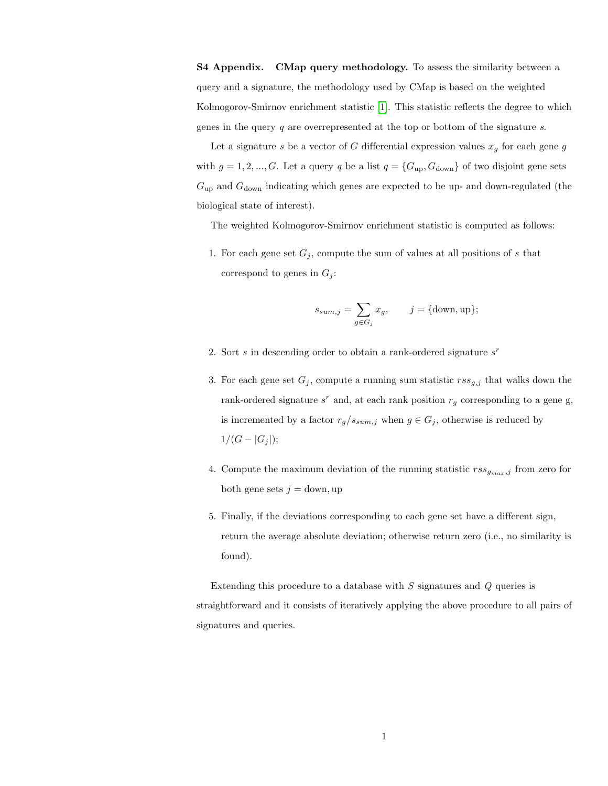S4 Appendix. CMap query methodology. To assess the similarity between a query and a signature, the methodology used by CMap is based on the weighted Kolmogorov-Smirnov enrichment statistic [\[1\]](#page-1-0). This statistic reflects the degree to which genes in the query  $q$  are overrepresented at the top or bottom of the signature s.

Let a signature s be a vector of G differential expression values  $x_g$  for each gene g with  $g = 1, 2, ..., G$ . Let a query q be a list  $q = \{G_{\rm up}, G_{\rm down}\}$  of two disjoint gene sets  $G_{\text{up}}$  and  $G_{\text{down}}$  indicating which genes are expected to be up- and down-regulated (the biological state of interest).

The weighted Kolmogorov-Smirnov enrichment statistic is computed as follows:

1. For each gene set  $G_j$ , compute the sum of values at all positions of s that correspond to genes in  $G_j$ :

$$
s_{sum,j} = \sum_{g \in G_j} x_g, \qquad j = \{\text{down}, \text{up}\};
$$

- 2. Sort  $s$  in descending order to obtain a rank-ordered signature  $s<sup>r</sup>$
- 3. For each gene set  $G_j$ , compute a running sum statistic  $rss_{g,j}$  that walks down the rank-ordered signature  $s^r$  and, at each rank position  $r_g$  corresponding to a gene g, is incremented by a factor  $r_g/s_{sum,j}$  when  $g \in G_j$ , otherwise is reduced by  $1/(G - |G_j|);$
- 4. Compute the maximum deviation of the running statistic  $\mathit{rss}_{g_{max},j}$  from zero for both gene sets  $j =$  down, up
- 5. Finally, if the deviations corresponding to each gene set have a different sign, return the average absolute deviation; otherwise return zero (i.e., no similarity is found).

Extending this procedure to a database with S signatures and Q queries is straightforward and it consists of iteratively applying the above procedure to all pairs of signatures and queries.